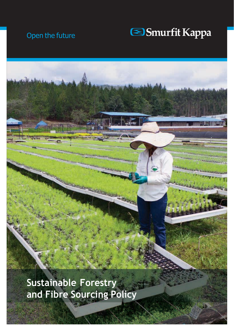### Open the future



**Sustainable Forestry and Fibre Sourcing Policy**

1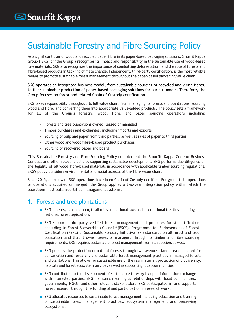## Sustainable Forestry and Fibre Sourcing Policy

As a significant user of wood and recycled paper fibre in its paper-based packaging solutions, Smurfit Kappa Group ('SKG' or 'the Group') recognises its impact and responsibility in the sustainable use of wood-based raw materials. SKG also recognises the importance of combatting deforestation, and the role of forests and fibre-based products in tackling climate change. Independent, third-party certification, is the most reliable means to promote sustainable forest management throughout the paper-based packaging value chain.

SKG operates an integrated business model, from sustainable sourcing of recycled and virgin fibres, to the sustainable production of paper-based packaging solutions for our customers. Therefore, the Group focuses on forest and related Chain of Custody certification.

SKG takes responsibility throughout its full value chain, from managing its forests and plantations, sourcing wood and fibre, and converting them into appropriate value-added products. The policy sets a framework for all of the Group's forestry, wood, fibre, and paper sourcing operations including:

- Forests and tree plantations owned, leased or managed
- Timber purchases and exchanges, including imports and exports
- Sourcing of pulp and paper from third parties, as well as sales of paper to third parties
- Other wood and wood fibre-based product purchases
- Sourcing of recovered paper and board

This Sustainable Forestry and Fibre Sourcing Policy complement the Smurfit Kappa Code of Business Conduct and other relevant policies supporting sustainable development. SKG performs due diligence on the legality of all wood fibre-based materials in accordance with applicable timber sourcing regulations. SKG's policy considers environmental and social aspects of the fibre value chain.

Since 2015, all relevant SKG operations have been Chain of Custody certified. For green-field operations or operations acquired or merged, the Group applies a two-year integration policy within which the operations must obtain certified management systems.

#### 1. Forests and tree plantations

- SKG adheres, as a minimum, to all relevant national laws and international treaties including national forest legislation.
- SKG supports third-party verified forest management and promotes forest certification according to Forest Stewardship Council® (FSC®), Programme for Endorsement of Forest Certification (PEFC) or Sustainable Forestry Initiative (SFI) standards on all forest and tree plantation land that it owns, leases or manages. Through its timber and fibre sourcing requirements, SKG requires sustainable forest management from its suppliers as well.
- SKG pursues the protection of natural forests through two avenues: land area dedicated for conservation and research, and sustainable forest management practices in managed forests and plantations. This allows for sustainable use of the raw material, protection of biodiversity, habitats and forest ecosystem services as well as supporting local communities.
- SKG contributes to the development of sustainable forestry by open information exchange with interested parties. SKG maintains meaningful relationships with local communities, governments, NGOs, and other relevant stakeholders. SKG participates in and supports forest research through the funding of and participation in research work.
- SKG allocates resources to sustainable forest management including education and training of sustainable forest management practices, ecosystem management and preserving ecosystems.